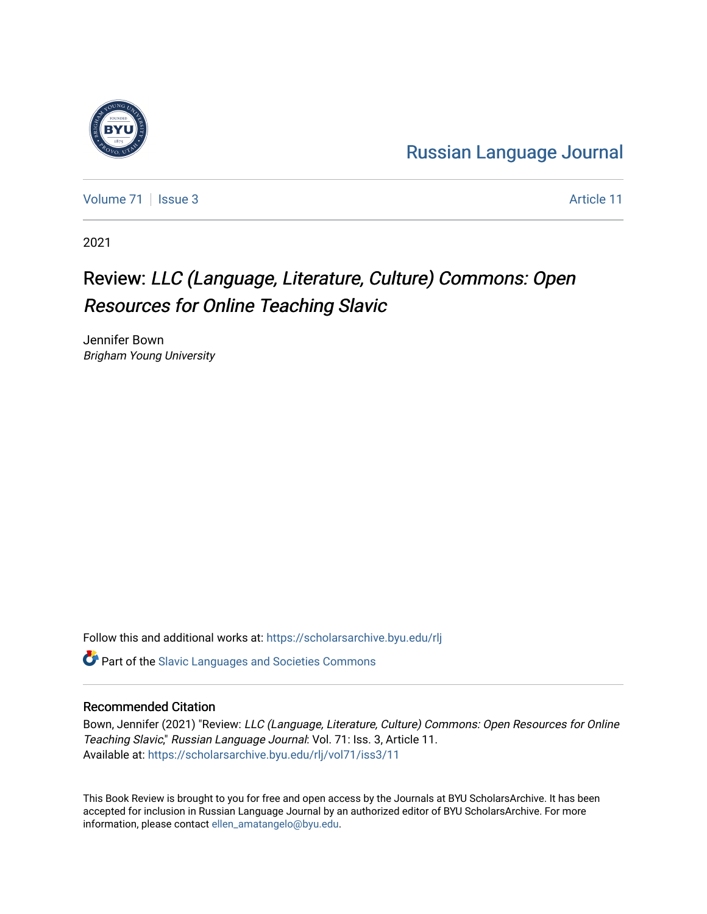## [Russian Language Journal](https://scholarsarchive.byu.edu/rlj)

[Volume 71](https://scholarsarchive.byu.edu/rlj/vol71) | [Issue 3](https://scholarsarchive.byu.edu/rlj/vol71/iss3) Article 11

2021

## Review: LLC (Language, Literature, Culture) Commons: Open Resources for Online Teaching Slavic

Jennifer Bown Brigham Young University

Follow this and additional works at: [https://scholarsarchive.byu.edu/rlj](https://scholarsarchive.byu.edu/rlj?utm_source=scholarsarchive.byu.edu%2Frlj%2Fvol71%2Fiss3%2F11&utm_medium=PDF&utm_campaign=PDFCoverPages)

**C** Part of the Slavic Languages and Societies Commons

## Recommended Citation

Bown, Jennifer (2021) "Review: LLC (Language, Literature, Culture) Commons: Open Resources for Online Teaching Slavic," Russian Language Journal: Vol. 71: Iss. 3, Article 11. Available at: [https://scholarsarchive.byu.edu/rlj/vol71/iss3/11](https://scholarsarchive.byu.edu/rlj/vol71/iss3/11?utm_source=scholarsarchive.byu.edu%2Frlj%2Fvol71%2Fiss3%2F11&utm_medium=PDF&utm_campaign=PDFCoverPages)

This Book Review is brought to you for free and open access by the Journals at BYU ScholarsArchive. It has been accepted for inclusion in Russian Language Journal by an authorized editor of BYU ScholarsArchive. For more information, please contact [ellen\\_amatangelo@byu.edu.](mailto:ellen_amatangelo@byu.edu)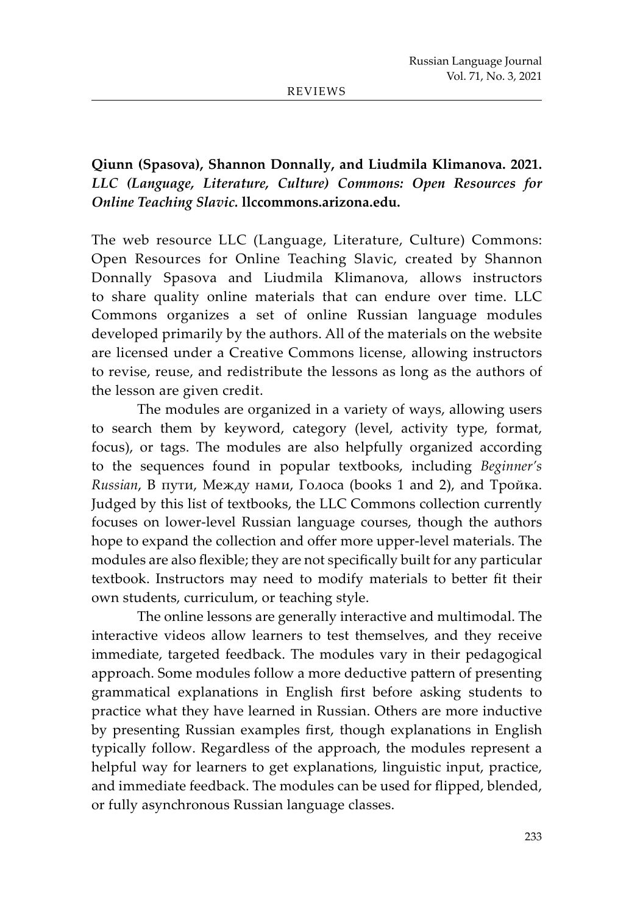REVIEWS

## **Qiunn (Spasova), Shannon Donnally, and Liudmila Klimanova. 2021.** *LLC (Language, Literature, Culture) Commons: Open Resources for Online Teaching Slavic.* **llccommons.arizona.edu.**

The web resource LLC (Language, Literature, Culture) Commons: Open Resources for Online Teaching Slavic, created by Shannon Donnally Spasova and Liudmila Klimanova, allows instructors to share quality online materials that can endure over time. LLC Commons organizes a set of online Russian language modules developed primarily by the authors. All of the materials on the website are licensed under a Creative Commons license, allowing instructors to revise, reuse, and redistribute the lessons as long as the authors of the lesson are given credit.

The modules are organized in a variety of ways, allowing users to search them by keyword, category (level, activity type, format, focus), or tags. The modules are also helpfully organized according to the sequences found in popular textbooks, including *Beginner's Russian*, В пути, Между нами, Голоса (books 1 and 2), and Тройка. Judged by this list of textbooks, the LLC Commons collection currently focuses on lower-level Russian language courses, though the authors hope to expand the collection and offer more upper-level materials. The modules are also flexible; they are not specifically built for any particular textbook. Instructors may need to modify materials to better fit their own students, curriculum, or teaching style.

The online lessons are generally interactive and multimodal. The interactive videos allow learners to test themselves, and they receive immediate, targeted feedback. The modules vary in their pedagogical approach. Some modules follow a more deductive pattern of presenting grammatical explanations in English first before asking students to practice what they have learned in Russian. Others are more inductive by presenting Russian examples first, though explanations in English typically follow. Regardless of the approach, the modules represent a helpful way for learners to get explanations, linguistic input, practice, and immediate feedback. The modules can be used for flipped, blended, or fully asynchronous Russian language classes.